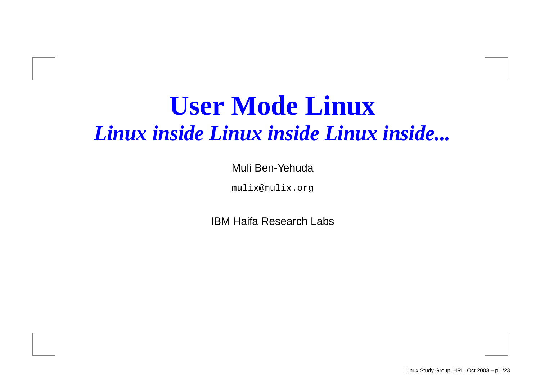#### **User Mode Linux** *Linux inside Linux inside Linux inside...*

Muli Ben-Yehuda

mulix@mulix.org

IBM Haifa Research Labs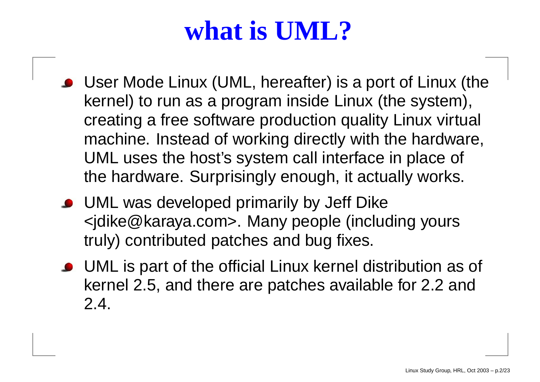## **what is UML?**

- User Mode Linux (UML, hereafter) is <sup>a</sup> port of Linux (the kernel) to run as <sup>a</sup> program inside Linux (the system), creating <sup>a</sup> free software production quality Linux virtual machine. Instead of working directly with the hardware, UML uses the host's system call interface in place of the hardware. Surprisingly enough, it actually works.
- UML was developed primarily by Jeff Dike <jdike@karaya.com>. Many people (including yours truly) contributed patches and bug fixes.
- UML is part of the official Linux kernel distribution as of kernel 2.5, and there are patches available for 2.2 and 2.4.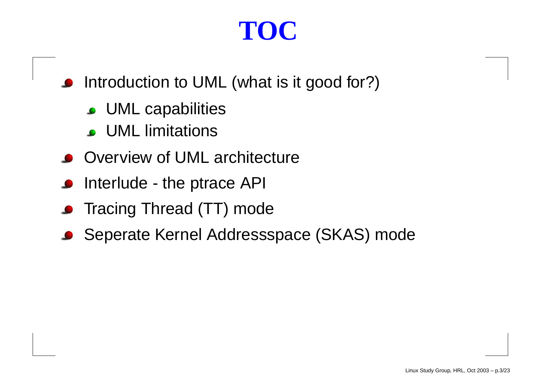## **TOC**

- Introduction to UML (what is it good for?)
	- UML capabilities
	- UML limitations
- Overview of UML architecture
- Interlude the ptrace API
- **•** Tracing Thread (TT) mode
- Seperate Kernel Addressspace (SKAS) mode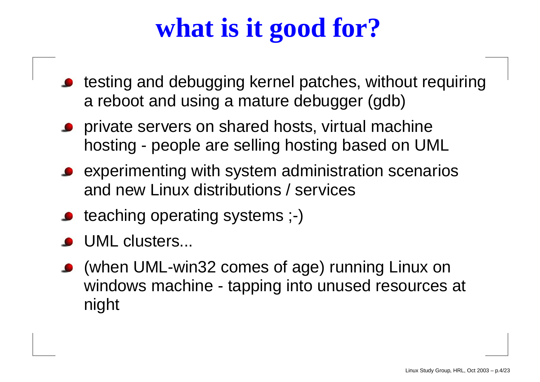# **what is it good for?**

- testing and debugging kernel patches, without requiring a reboot and using <sup>a</sup> mature debugger (gdb)
- **Perivate servers on shared hosts, virtual machine** hosting - people are selling hosting based on UML
- experimenting with system administration scenarios and new Linux distributions / services
- **•** teaching operating systems ;-)
- UML clusters...
- (when UML-win32 comes of age) running Linux on windows machine - tapping into unused resources at night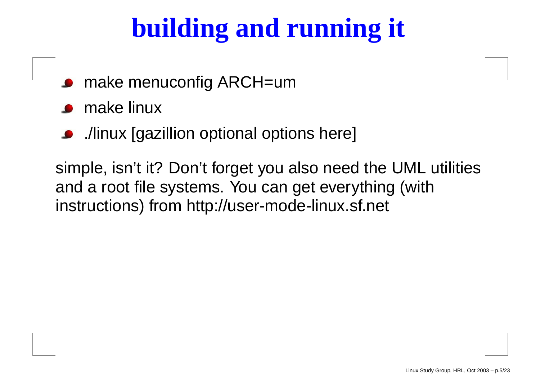# **building and running it**

- make menuconfig ARCH=um
- make linux
- ./linux [gazillion optional options here]

simple, isn't it? Don't forget you also need the UML utilities and <sup>a</sup> root file systems. You can get everything (with instructions) from http://user-mode-linux.sf.net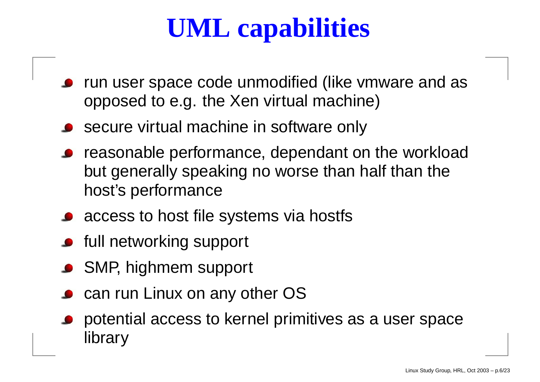# **UML capabilities**

- run user space code unmodified (like vmware and as opposed to e.g. the Xen virtual machine)
- secure virtual machine in software only
- reasonable performance, dependant on the workload but generally speaking no worse than half than the host's performance
- access to host file systems via hostfs
- **•** full networking support
- **SMP, highmem support**
- can run Linux on any other OS
- potential access to kernel primitives as <sup>a</sup> user space library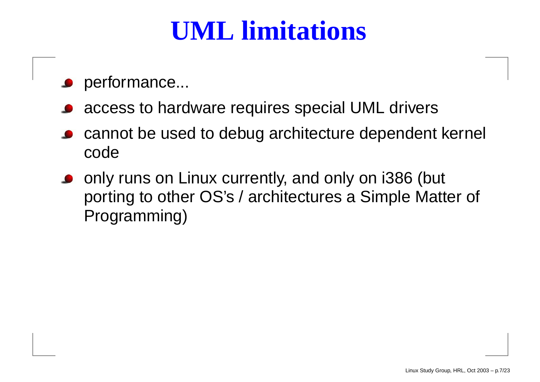## **UML limitations**

- performance...
- access to hardware requires special UML drivers
- cannot be used to debug architecture dependent kernel code
- only runs on Linux currently, and only on i386 (but porting to other OS's / architectures <sup>a</sup> Simple Matter of Programming)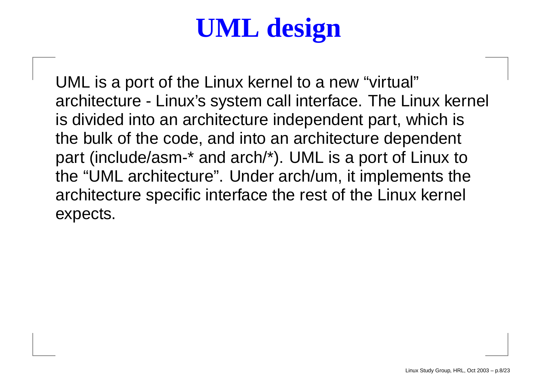# **UML design**

UML is <sup>a</sup> port of the Linux kernel to <sup>a</sup> new "virtual" architecture - Linux's system call interface. The Linux kernel is divided into an architecture independent part, which is the bulk of the code, and into an architecture dependent part (include/asm-\* and arch/\*). UML is <sup>a</sup> port of Linux to the "UML architecture". Under arch/um, it implements the architecture specific interface the rest of the Linux kernel expects.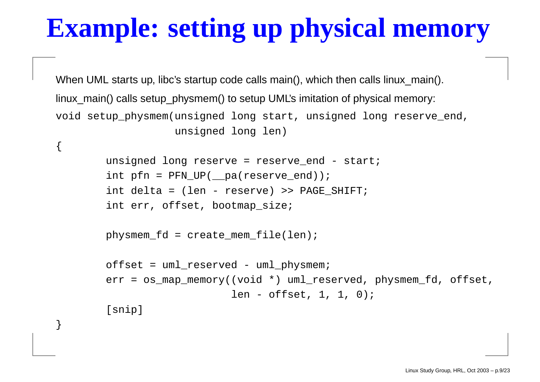# **Example: setting up physical memory**

When UML starts up, libc's startup code calls main(), which then calls linux\_main(). linux main() calls setup physmem() to setup UML's imitation of physical memory: void setup\_physmem(unsigned long start, unsigned long reserve\_end, unsigned long len)

```
unsigned long reserve = reserve end - start;
int pfn = PFN_UP(__pa(reserve_end));
int delta = (len - reserve) >> PAGE_SHIFT;
int err, offset, bootmap_size;
```

```
physmem fd = create mem file(len);
```
 $\mathcal{L}_{\mathcal{A}}$ 

```
offset = uml_reserved - uml_physmem;
err = os_map_memory((void *) uml_reserved, physmem_fd, offset,
                     len - offset, 1, 1, 0);
[snip]
```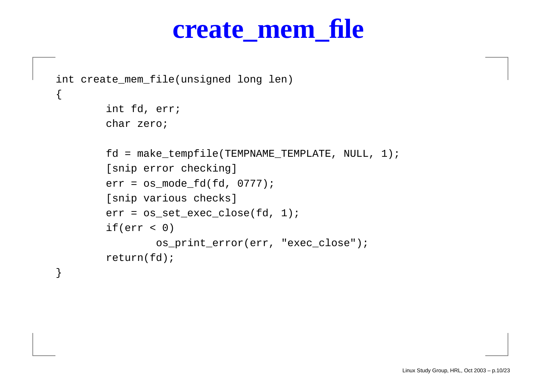#### **create\_mem\_file**

```
int create_mem_file(unsigned long len)
```

```
int fd, err;
char zero;
```
 $\{$ 

```
fd = make_tempfile(TEMPNAME_TEMPLATE, NULL, 1);
[snip error checking]
err = os_mode_fd(fd, 0777);
[snip various checks]
err = os_set_exec_close(fd, 1);
if(err < 0)os_print_error(err, "exec_close");
return(fd);
```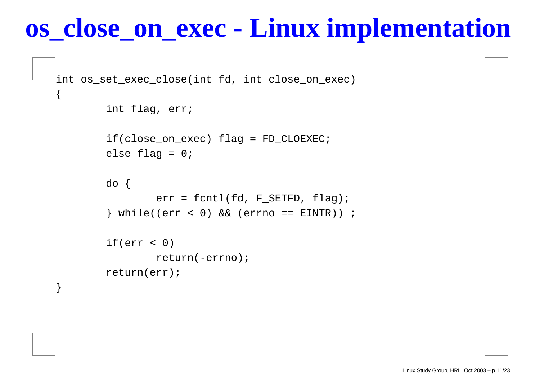#### **os\_close\_on\_exec Linux implementation**

```
int os_set_exec_close(int fd, int close_on_exec)
\{int flag, err;
        if(close_on_exec) flag
= FD_CLOEXEC;
        else flag
= 0;
        do {
                 err
= fcntl(fd, F_SETFD, flag);
        } while((err
< 0) && (errno == EINTR)) ;
        if(err
< 0)
                return(-errno);
        return(err);
```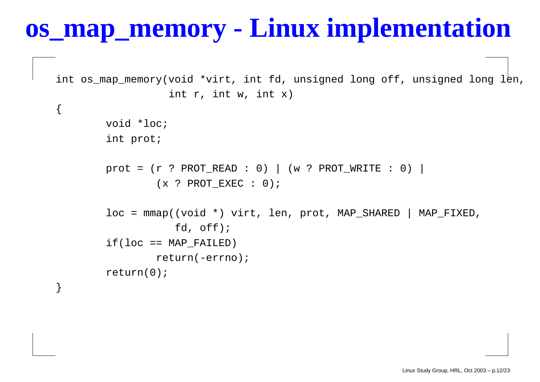#### **os\_map\_memory -Linux implementation**

int os\_map\_memory(void \*virt, int fd, unsigned long off, unsigned long le int r, int w, int x)

> void \*loc; int prot;

{

```
prot
= (r
? PROT_READ : 0) | (w
? PROT_WRITE : 0) |
        (x
? PROT_EXEC : 0);
```

```
loc
= mmap((void *) virt, len, prot, MAP_SHARED | MAP_FIXED,
           fd, off);
if(loc == MAP FAILED)
        return(-errno);
return(0);
```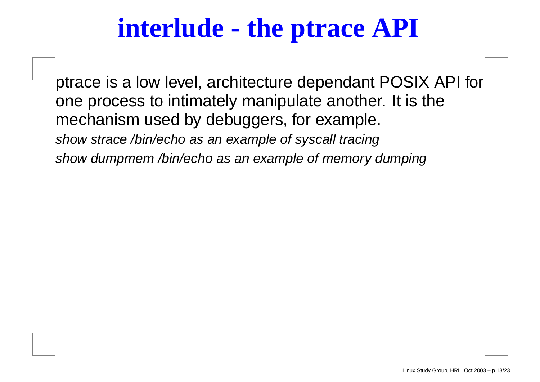## **interlude - the ptrace API**

ptrace is <sup>a</sup> low level, architecture dependant POSIX API for one process to intimately manipulate another. It is the mechanism used by debuggers, for example. show strace /bin/echo as an example of syscall tracing show dumpmem /bin/echo as an example of memory dumping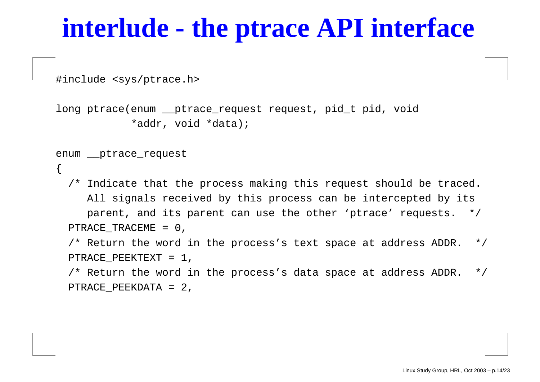#### **interlude - the ptrace API interface**

#include <sys/ptrace.h>

```
long ptrace(enum __ptrace_request request, pid_t pid, void
            *addr, void *data);
```

```
enum __ptrace_request
```
 $\{$ 

/\* Indicate that the process making this request should be traced. All signals received by this process can be intercepted by its parent, and its parent can use the other 'ptrace' requests. \*/ PTRACE TRACEME = 0,  $\prime$ \* Return the word in the process's text space at address ADDR. \*/ PTRACE PEEKTEXT = 1,  $\prime$ \* Return the word in the process's data space at address ADDR. \*/

```
PTRACE_PEEKDATA = 2,
```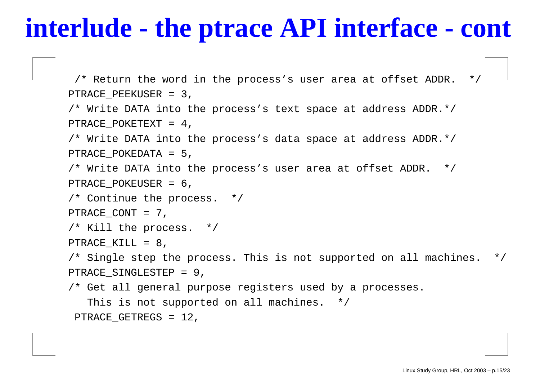## **interlude - the ptrace API interface - cont**

```
\frac{1}{x} Return the word in the process's user area at offset ADDR. \frac{x}{x}PTRACE_PEEKUSER = 3,
/* Write DATA into the process's text space at address ADDR.*/
PTRACE POKETEXT = 4,
/* Write DATA into the process's data space at address ADDR.*/
PTRACE POKEDATA = 5,
/* Write DATA into the process's user area at offset ADDR. */
PTRACE POKEUSER = 6,
/* Continue the process. */
PTRACE CONT = 7,
/* Kill the process. */
PTRACE KILL = 8,
\prime* Single step the process. This is not supported on all machines. \primePTRACE_SINGLESTEP = 9,
/* Get all general purpose registers used by a processes.
   This is not supported on all machines. */
PTRACE_GETREGS = 12,
```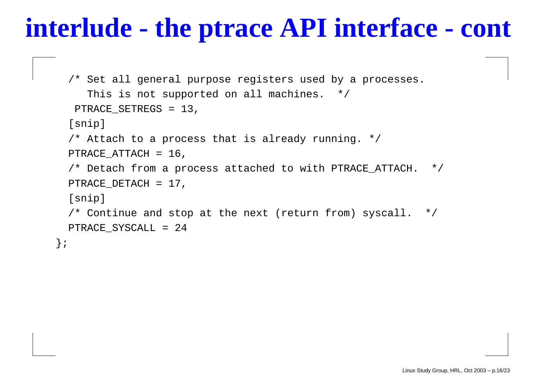## **interlude - the ptrace API interface - cont**

```
/* Set all general purpose registers used by a processes.
     This is not supported on all machines. */
  PTRACE_SETREGS = 13,
  [snip]
 /* Attach to a process that is already running. */
 PTRACE ATTACH = 16,
 /* Detach from a process attached to with PTRACE_ATTACH. */
 PTRACE_DETACH = 17,
  [snip]
 \prime* Continue and stop at the next (return from) syscall. */
 PTRACE_SYSCALL = 24
};
```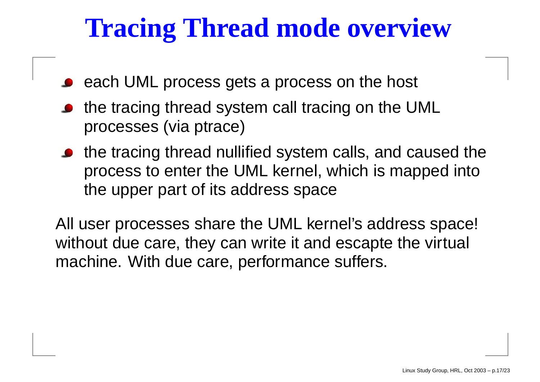## **Tracing Thread mode overview**

- each UML process gets <sup>a</sup> process on the host
- the tracing thread system call tracing on the UML processes (via ptrace)
- the tracing thread nullified system calls, and caused the process to enter the UML kernel, which is mapped into the upper part of its address space

All user processes share the UML kernel's address space! without due care, they can write it and escapte the virtual machine. With due care, performance suffers.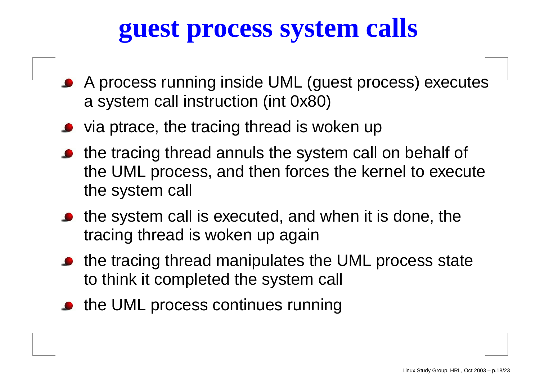## **guest process system calls**

- A process running inside UML (guest process) executes a system call instruction (int 0x80)
- via ptrace, the tracing thread is woken up
- the tracing thread annuls the system call on behalf of the UML process, and then forces the kernel to execute the system call
- the system call is executed, and when it is done, the tracing thread is woken up again
- the tracing thread manipulates the UML process state to think it completed the system call
- the UML process continues running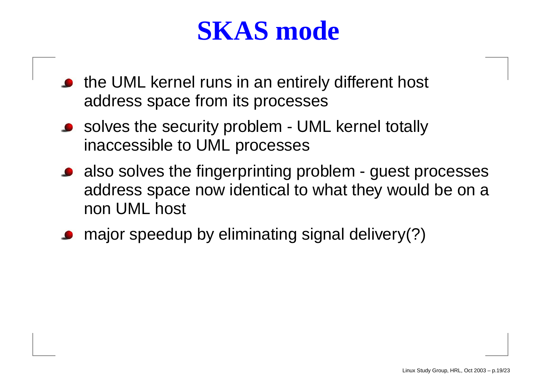#### **SKAS mode**

- the UML kernel runs in an entirely different host address space from its processes
- solves the security problem UML kernel totally inaccessible to UML processes
- also solves the fingerprinting problem guest processes address space now identical to what they would be on <sup>a</sup> non UML host
- major speedup by eliminating signal delivery(?)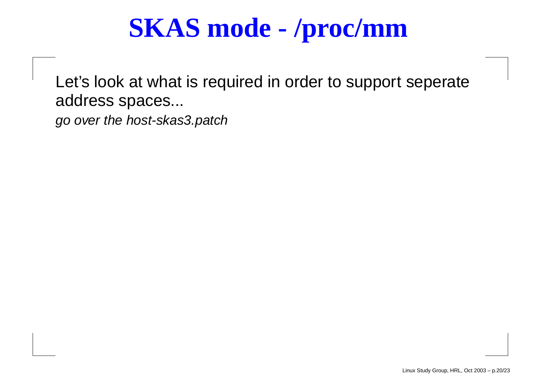## **SKAS mode - /proc/mm**

Let's look at what is required in order to support seperate address spaces...

go over the host-skas3.patch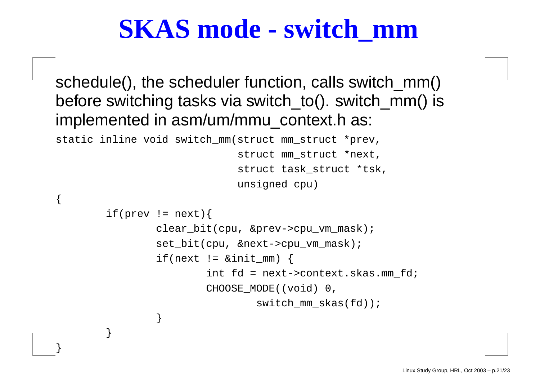#### **SKAS mode - switch\_mm**

schedule(), the scheduler function, calls switch\_mm() before switching tasks via switch\_to(). switch\_mm() is implemented in asm/um/mmu\_context.h as:

static inline void switch\_mm(struct mm\_struct \*prev,

{

}

}

struct mm\_struct \*next, struct task\_struct \*tsk, unsigned cpu)

```
if(prev != next)clear bit(cpu, &prev->cpu vm mask);
        set_bit(cpu, &next->cpu_vm_mask);
        if(next != \&init mm) {
                 int fd = next->context.skas.mm_fd;
                CHOOSE MODE((void) 0,
                         switch mm skas(fd));
        }
```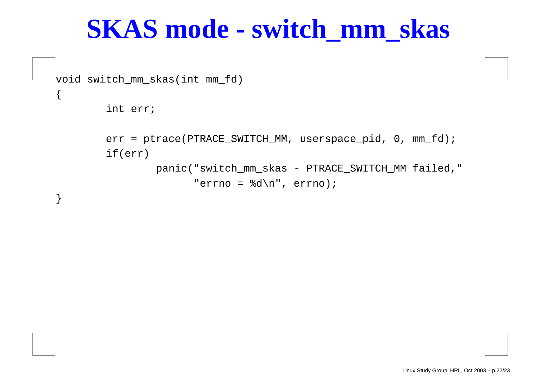#### **SKAS mode - switch\_mm\_skas**

void switch\_mm\_skas(int mm\_fd)

int err;

 $\{$ 

}

err = ptrace(PTRACE\_SWITCH\_MM, userspace\_pid, 0, mm\_fd); if(err)

> panic("switch\_mm\_skas - PTRACE\_SWITCH\_MM failed," "errno <sup>=</sup> %d\n", errno);